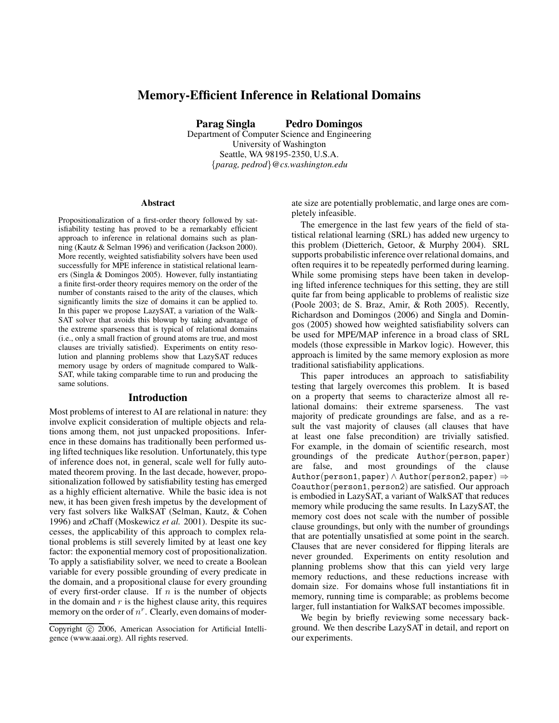# **Memory-Efficient Inference in Relational Domains**

**Parag Singla Pedro Domingos**

Department of Computer Science and Engineering University of Washington Seattle, WA 98195-2350, U.S.A. {*parag, pedrod*}*@cs.washington.edu*

#### **Abstract**

Propositionalization of a first-order theory followed by satisfiability testing has proved to be a remarkably efficient approach to inference in relational domains such as planning (Kautz & Selman 1996) and verification (Jackson 2000). More recently, weighted satisfiability solvers have been used successfully for MPE inference in statistical relational learners (Singla & Domingos 2005). However, fully instantiating a finite first-order theory requires memory on the order of the number of constants raised to the arity of the clauses, which significantly limits the size of domains it can be applied to. In this paper we propose LazySAT, a variation of the Walk-SAT solver that avoids this blowup by taking advantage of the extreme sparseness that is typical of relational domains (i.e., only a small fraction of ground atoms are true, and most clauses are trivially satisfied). Experiments on entity resolution and planning problems show that LazySAT reduces memory usage by orders of magnitude compared to Walk-SAT, while taking comparable time to run and producing the same solutions.

### **Introduction**

Most problems of interest to AI are relational in nature: they involve explicit consideration of multiple objects and relations among them, not just unpacked propositions. Inference in these domains has traditionally been performed using lifted techniques like resolution. Unfortunately, this type of inference does not, in general, scale well for fully automated theorem proving. In the last decade, however, propositionalization followed by satisfiability testing has emerged as a highly efficient alternative. While the basic idea is not new, it has been given fresh impetus by the development of very fast solvers like WalkSAT (Selman, Kautz, & Cohen 1996) and zChaff (Moskewicz *et al.* 2001). Despite its successes, the applicability of this approach to complex relational problems is still severely limited by at least one key factor: the exponential memory cost of propositionalization. To apply a satisfiability solver, we need to create a Boolean variable for every possible grounding of every predicate in the domain, and a propositional clause for every grounding of every first-order clause. If  $n$  is the number of objects in the domain and  $r$  is the highest clause arity, this requires memory on the order of  $n^r$ . Clearly, even domains of moderate size are potentially problematic, and large ones are completely infeasible.

The emergence in the last few years of the field of statistical relational learning (SRL) has added new urgency to this problem (Dietterich, Getoor, & Murphy 2004). SRL supports probabilistic inference over relational domains, and often requires it to be repeatedly performed during learning. While some promising steps have been taken in developing lifted inference techniques for this setting, they are still quite far from being applicable to problems of realistic size (Poole 2003; de S. Braz, Amir, & Roth 2005). Recently, Richardson and Domingos (2006) and Singla and Domingos (2005) showed how weighted satisfiability solvers can be used for MPE/MAP inference in a broad class of SRL models (those expressible in Markov logic). However, this approach is limited by the same memory explosion as more traditional satisfiability applications.

This paper introduces an approach to satisfiability testing that largely overcomes this problem. It is based on a property that seems to characterize almost all relational domains: their extreme sparseness. The vast majority of predicate groundings are false, and as a result the vast majority of clauses (all clauses that have at least one false precondition) are trivially satisfied. For example, in the domain of scientific research, most groundings of the predicate Author(person, paper) are false, and most groundings of the clause Author(person1, paper)  $\land$  Author(person2, paper)  $\Rightarrow$ Coauthor(person1, person2) are satisfied. Our approach is embodied in LazySAT, a variant of WalkSAT that reduces memory while producing the same results. In LazySAT, the memory cost does not scale with the number of possible clause groundings, but only with the number of groundings that are potentially unsatisfied at some point in the search. Clauses that are never considered for flipping literals are never grounded. Experiments on entity resolution and planning problems show that this can yield very large memory reductions, and these reductions increase with domain size. For domains whose full instantiations fit in memory, running time is comparable; as problems become larger, full instantiation for WalkSAT becomes impossible.

We begin by briefly reviewing some necessary background. We then describe LazySAT in detail, and report on our experiments.

Copyright © 2006, American Association for Artificial Intelligence (www.aaai.org). All rights reserved.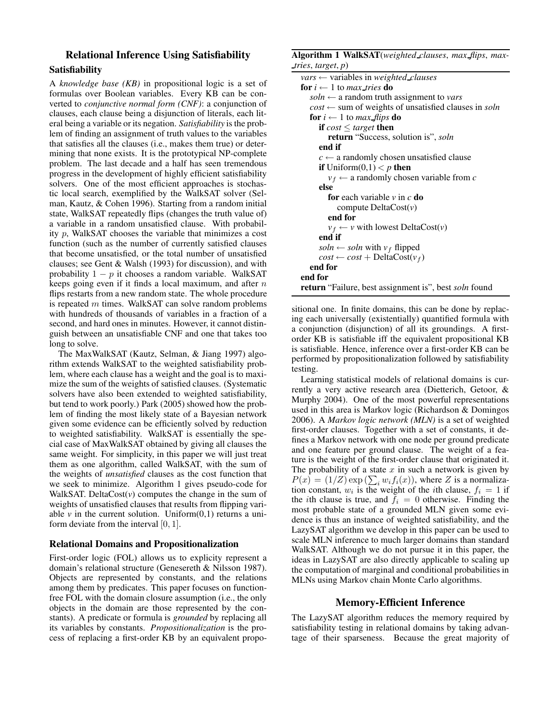# **Relational Inference Using Satisfiability**

## **Satisfiability**

A *knowledge base (KB)* in propositional logic is a set of formulas over Boolean variables. Every KB can be converted to *conjunctive normal form (CNF)*: a conjunction of clauses, each clause being a disjunction of literals, each literal being a variable or its negation. *Satisfiability* is the problem of finding an assignment of truth values to the variables that satisfies all the clauses (i.e., makes them true) or determining that none exists. It is the prototypical NP-complete problem. The last decade and a half has seen tremendous progress in the development of highly efficient satisfiability solvers. One of the most efficient approaches is stochastic local search, exemplified by the WalkSAT solver (Selman, Kautz, & Cohen 1996). Starting from a random initial state, WalkSAT repeatedly flips (changes the truth value of) a variable in a random unsatisfied clause. With probability p, WalkSAT chooses the variable that minimizes a cost function (such as the number of currently satisfied clauses that become unsatisfied, or the total number of unsatisfied clauses; see Gent & Walsh (1993) for discussion), and with probability  $1 - p$  it chooses a random variable. WalkSAT keeps going even if it finds a local maximum, and after  $n$ flips restarts from a new random state. The whole procedure is repeated  $m$  times. WalkSAT can solve random problems with hundreds of thousands of variables in a fraction of a second, and hard ones in minutes. However, it cannot distinguish between an unsatisfiable CNF and one that takes too long to solve.

The MaxWalkSAT (Kautz, Selman, & Jiang 1997) algorithm extends WalkSAT to the weighted satisfiability problem, where each clause has a weight and the goal is to maximize the sum of the weights of satisfied clauses. (Systematic solvers have also been extended to weighted satisfiability, but tend to work poorly.) Park (2005) showed how the problem of finding the most likely state of a Bayesian network given some evidence can be efficiently solved by reduction to weighted satisfiability. WalkSAT is essentially the special case of MaxWalkSAT obtained by giving all clauses the same weight. For simplicity, in this paper we will just treat them as one algorithm, called WalkSAT, with the sum of the weights of *unsatisfied* clauses as the cost function that we seek to minimize. Algorithm 1 gives pseudo-code for WalkSAT. DeltaCost $(v)$  computes the change in the sum of weights of unsatisfied clauses that results from flipping variable  $\nu$  in the current solution. Uniform $(0,1)$  returns a uniform deviate from the interval  $[0, 1]$ .

### **Relational Domains and Propositionalization**

First-order logic (FOL) allows us to explicity represent a domain's relational structure (Genesereth & Nilsson 1987). Objects are represented by constants, and the relations among them by predicates. This paper focuses on functionfree FOL with the domain closure assumption (i.e., the only objects in the domain are those represented by the constants). A predicate or formula is *grounded* by replacing all its variables by constants. *Propositionalization* is the process of replacing a first-order KB by an equivalent propo-

| Algorithm 1 WalkSAT (weighted clauses, max flips, max- |  |
|--------------------------------------------------------|--|
| tries, target, $p$ )                                   |  |

```
vars ← variables in weighted clauses
for i \leftarrow 1 to max_tries do
  \textit{soln} \leftarrow a random truth assignment to vars
  cost ← sum of weights of unsatisfied clauses in soln
  for i \leftarrow 1 to max flips do
     if cost ≤ target then
        return "Success, solution is", soln
     end if
     c \leftarrow a randomly chosen unsatisfied clause
     if Uniform(0,1) < p then
         v_f \leftarrow a randomly chosen variable from c
     else
         for each variable v in c do
           compute DeltaCost(v)
         end for
         v_f \leftarrow v with lowest DeltaCost(v)
     end if
     \mathit{soln} \leftarrow \mathit{soln} with v_f flipped
     cost \leftarrow cost + \text{DeltaCost}(v_f)end for
end for
return "Failure, best assignment is", best soln found
```
sitional one. In finite domains, this can be done by replacing each universally (existentially) quantified formula with a conjunction (disjunction) of all its groundings. A firstorder KB is satisfiable iff the equivalent propositional KB is satisfiable. Hence, inference over a first-order KB can be performed by propositionalization followed by satisfiability testing.

Learning statistical models of relational domains is currently a very active research area (Dietterich, Getoor, & Murphy 2004). One of the most powerful representations used in this area is Markov logic (Richardson & Domingos 2006). A *Markov logic network (MLN)* is a set of weighted first-order clauses. Together with a set of constants, it defines a Markov network with one node per ground predicate and one feature per ground clause. The weight of a feature is the weight of the first-order clause that originated it. The probability of a state  $x$  in such a network is given by  $P(x) = (1/Z) \exp(\sum_i w_i f_i(x))$ , where Z is a normalization constant,  $w_i$  is the weight of the *i*th clause,  $f_i = 1$  if the *i*th clause is true, and  $f_i = 0$  otherwise. Finding the most probable state of a grounded MLN given some evidence is thus an instance of weighted satisfiability, and the LazySAT algorithm we develop in this paper can be used to scale MLN inference to much larger domains than standard WalkSAT. Although we do not pursue it in this paper, the ideas in LazySAT are also directly applicable to scaling up the computation of marginal and conditional probabilities in MLNs using Markov chain Monte Carlo algorithms.

# **Memory-Efficient Inference**

The LazySAT algorithm reduces the memory required by satisfiability testing in relational domains by taking advantage of their sparseness. Because the great majority of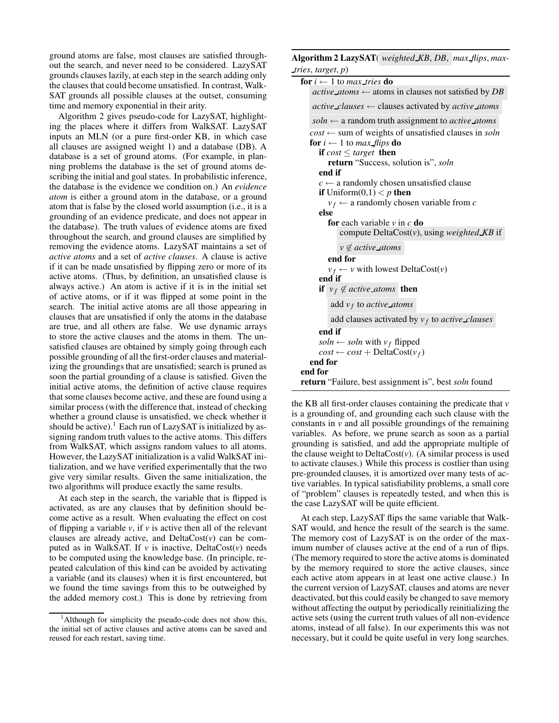ground atoms are false, most clauses are satisfied throughout the search, and never need to be considered. LazySAT grounds clauses lazily, at each step in the search adding only the clauses that could become unsatisfied. In contrast, Walk-SAT grounds all possible clauses at the outset, consuming time and memory exponential in their arity.

Algorithm 2 gives pseudo-code for LazySAT, highlighting the places where it differs from WalkSAT. LazySAT inputs an MLN (or a pure first-order KB, in which case all clauses are assigned weight 1) and a database (DB). A database is a set of ground atoms. (For example, in planning problems the database is the set of ground atoms describing the initial and goal states. In probabilistic inference, the database is the evidence we condition on.) An *evidence atom* is either a ground atom in the database, or a ground atom that is false by the closed world assumption (i.e., it is a grounding of an evidence predicate, and does not appear in the database). The truth values of evidence atoms are fixed throughout the search, and ground clauses are simplified by removing the evidence atoms. LazySAT maintains a set of *active atoms* and a set of *active clauses*. A clause is active if it can be made unsatisfied by flipping zero or more of its active atoms. (Thus, by definition, an unsatisfied clause is always active.) An atom is active if it is in the initial set of active atoms, or if it was flipped at some point in the search. The initial active atoms are all those appearing in clauses that are unsatisfied if only the atoms in the database are true, and all others are false. We use dynamic arrays to store the active clauses and the atoms in them. The unsatisfied clauses are obtained by simply going through each possible grounding of all the first-order clauses and materializing the groundings that are unsatisfied; search is pruned as soon the partial grounding of a clause is satisfied. Given the initial active atoms, the definition of active clause requires that some clauses become active, and these are found using a similar process (with the difference that, instead of checking whether a ground clause is unsatisfied, we check whether it should be active).<sup>1</sup> Each run of LazySAT is initialized by assigning random truth values to the active atoms. This differs from WalkSAT, which assigns random values to all atoms. However, the LazySAT initialization is a valid WalkSAT initialization, and we have verified experimentally that the two give very similar results. Given the same initialization, the two algorithms will produce exactly the same results.

At each step in the search, the variable that is flipped is activated, as are any clauses that by definition should become active as a result. When evaluating the effect on cost of flipping a variable  $v$ , if  $v$  is active then all of the relevant clauses are already active, and DeltaCost(*v*) can be computed as in WalkSAT. If  $v$  is inactive, DeltaCost( $v$ ) needs to be computed using the knowledge base. (In principle, repeated calculation of this kind can be avoided by activating a variable (and its clauses) when it is first encountered, but we found the time savings from this to be outweighed by the added memory cost.) This is done by retrieving from

**Algorithm 2 LazySAT**( *weighted KB*, *DB*, *max flips*, *maxtries*, *target*, *p*)

| $cos, u$ $sec, p$                                                      |
|------------------------------------------------------------------------|
| <b>for</b> $i \leftarrow 1$ to max_tries <b>do</b>                     |
| <i>active atoms</i> $\leftarrow$ atoms in clauses not satisfied by DB  |
| $active\_clauses \leftarrow clauses$ activated by <i>active_atoms</i>  |
| soln $\leftarrow$ a random truth assignment to <i>active atoms</i>     |
| $cost \leftarrow$ sum of weights of unsatisfied clauses in <i>soln</i> |
| <b>for</b> $i \leftarrow 1$ to <i>max_flips</i> <b>do</b>              |
| if cost $\leq$ target then                                             |
| return "Success, solution is", soln                                    |
| end if                                                                 |
| $c \leftarrow$ a randomly chosen unsatisfied clause                    |
| <b>if</b> Uniform $(0,1) < p$ then                                     |
| $v_f \leftarrow$ a randomly chosen variable from c                     |
| else                                                                   |
| <b>for</b> each variable $\nu$ in c <b>do</b>                          |
| compute Delta $Cost(v)$ , using weighted KB if                         |
| $v \notin active\_atoms$                                               |
|                                                                        |
| end for                                                                |
| $v_f \leftarrow v$ with lowest DeltaCost(v)                            |
| end if                                                                 |
| if $v_f \notin active\_atoms$ then                                     |
| add $v_f$ to <i>active_atoms</i>                                       |
| add clauses activated by $v_f$ to <i>active clauses</i>                |
| end if                                                                 |
| soln $\leftarrow$ soln with $v_f$ flipped                              |
| $cost \leftarrow cost + \text{DeltaCost}(v_f)$                         |
| end for                                                                |
| end for                                                                |
| return "Failure, best assignment is", best soln found                  |
|                                                                        |

the KB all first-order clauses containing the predicate that *v* is a grounding of, and grounding each such clause with the constants in  $\nu$  and all possible groundings of the remaining variables. As before, we prune search as soon as a partial grounding is satisfied, and add the appropriate multiple of the clause weight to Delta $Cost(v)$ . (A similar process is used to activate clauses.) While this process is costlier than using pre-grounded clauses, it is amortized over many tests of active variables. In typical satisfiability problems, a small core of "problem" clauses is repeatedly tested, and when this is the case LazySAT will be quite efficient.

At each step, LazySAT flips the same variable that Walk-SAT would, and hence the result of the search is the same. The memory cost of LazySAT is on the order of the maximum number of clauses active at the end of a run of flips. (The memory required to store the active atoms is dominated by the memory required to store the active clauses, since each active atom appears in at least one active clause.) In the current version of LazySAT, clauses and atoms are never deactivated, but this could easily be changed to save memory without affecting the output by periodically reinitializing the active sets (using the current truth values of all non-evidence atoms, instead of all false). In our experiments this was not necessary, but it could be quite useful in very long searches.

<sup>&</sup>lt;sup>1</sup>Although for simplicity the pseudo-code does not show this, the initial set of active clauses and active atoms can be saved and reused for each restart, saving time.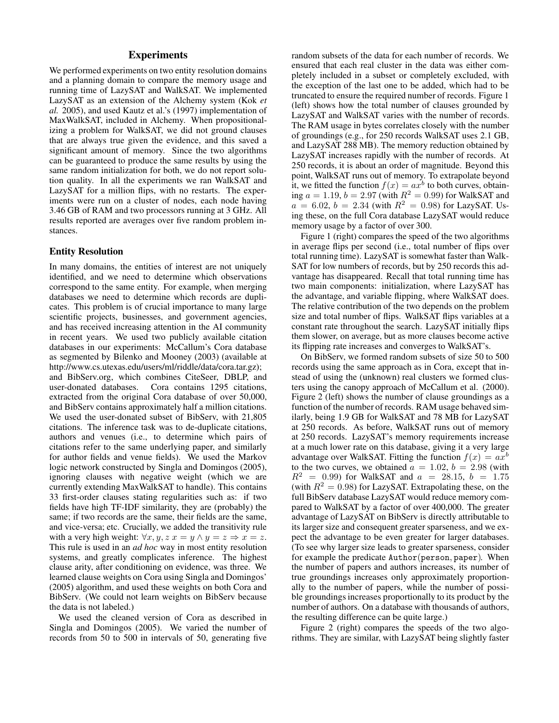# **Experiments**

We performed experiments on two entity resolution domains and a planning domain to compare the memory usage and running time of LazySAT and WalkSAT. We implemented LazySAT as an extension of the Alchemy system (Kok *et al.* 2005), and used Kautz et al.'s (1997) implementation of MaxWalkSAT, included in Alchemy. When propositionalizing a problem for WalkSAT, we did not ground clauses that are always true given the evidence, and this saved a significant amount of memory. Since the two algorithms can be guaranteed to produce the same results by using the same random initialization for both, we do not report solution quality. In all the experiments we ran WalkSAT and LazySAT for a million flips, with no restarts. The experiments were run on a cluster of nodes, each node having 3.46 GB of RAM and two processors running at 3 GHz. All results reported are averages over five random problem instances.

### **Entity Resolution**

In many domains, the entities of interest are not uniquely identified, and we need to determine which observations correspond to the same entity. For example, when merging databases we need to determine which records are duplicates. This problem is of crucial importance to many large scientific projects, businesses, and government agencies, and has received increasing attention in the AI community in recent years. We used two publicly available citation databases in our experiments: McCallum's Cora database as segmented by Bilenko and Mooney (2003) (available at http://www.cs.utexas.edu/users/ml/riddle/data/cora.tar.gz); and BibServ.org, which combines CiteSeer, DBLP, and user-donated databases. Cora contains 1295 citations, extracted from the original Cora database of over 50,000, and BibServ contains approximately half a million citations. We used the user-donated subset of BibServ, with 21,805 citations. The inference task was to de-duplicate citations, authors and venues (i.e., to determine which pairs of citations refer to the same underlying paper, and similarly for author fields and venue fields). We used the Markov logic network constructed by Singla and Domingos (2005), ignoring clauses with negative weight (which we are currently extending MaxWalkSAT to handle). This contains 33 first-order clauses stating regularities such as: if two fields have high TF-IDF similarity, they are (probably) the same; if two records are the same, their fields are the same, and vice-versa; etc. Crucially, we added the transitivity rule with a very high weight:  $\forall x, y, z \in \mathcal{X} \land y = z \Rightarrow x = z$ . This rule is used in an *ad hoc* way in most entity resolution systems, and greatly complicates inference. The highest clause arity, after conditioning on evidence, was three. We learned clause weights on Cora using Singla and Domingos' (2005) algorithm, and used these weights on both Cora and BibServ. (We could not learn weights on BibServ because the data is not labeled.)

We used the cleaned version of Cora as described in Singla and Domingos (2005). We varied the number of records from 50 to 500 in intervals of 50, generating five

random subsets of the data for each number of records. We ensured that each real cluster in the data was either completely included in a subset or completely excluded, with the exception of the last one to be added, which had to be truncated to ensure the required number of records. Figure 1 (left) shows how the total number of clauses grounded by LazySAT and WalkSAT varies with the number of records. The RAM usage in bytes correlates closely with the number of groundings (e.g., for 250 records WalkSAT uses 2.1 GB, and LazySAT 288 MB). The memory reduction obtained by LazySAT increases rapidly with the number of records. At 250 records, it is about an order of magnitude. Beyond this point, WalkSAT runs out of memory. To extrapolate beyond it, we fitted the function  $f(x) = ax^b$  to both curves, obtaining  $a = 1.19$ ,  $b = 2.97$  (with  $R^2 = 0.99$ ) for WalkSAT and  $a = 6.02, b = 2.34$  (with  $R^2 = 0.98$ ) for LazySAT. Using these, on the full Cora database LazySAT would reduce memory usage by a factor of over 300.

Figure 1 (right) compares the speed of the two algorithms in average flips per second (i.e., total number of flips over total running time). LazySAT is somewhat faster than Walk-SAT for low numbers of records, but by 250 records this advantage has disappeared. Recall that total running time has two main components: initialization, where LazySAT has the advantage, and variable flipping, where WalkSAT does. The relative contribution of the two depends on the problem size and total number of flips. WalkSAT flips variables at a constant rate throughout the search. LazySAT initially flips them slower, on average, but as more clauses become active its flipping rate increases and converges to WalkSAT's.

On BibServ, we formed random subsets of size 50 to 500 records using the same approach as in Cora, except that instead of using the (unknown) real clusters we formed clusters using the canopy approach of McCallum et al. (2000). Figure 2 (left) shows the number of clause groundings as a function of the number of records. RAM usage behaved similarly, being 1.9 GB for WalkSAT and 78 MB for LazySAT at 250 records. As before, WalkSAT runs out of memory at 250 records. LazySAT's memory requirements increase at a much lower rate on this database, giving it a very large advantage over WalkSAT. Fitting the function  $f(x) = ax^b$ to the two curves, we obtained  $a = 1.02$ ,  $b = 2.98$  (with  $R^2$  = 0.99) for WalkSAT and  $a$  = 28.15,  $b$  = 1.75 (with  $R^2 = 0.98$ ) for LazySAT. Extrapolating these, on the full BibServ database LazySAT would reduce memory compared to WalkSAT by a factor of over 400,000. The greater advantage of LazySAT on BibServ is directly attributable to its larger size and consequent greater sparseness, and we expect the advantage to be even greater for larger databases. (To see why larger size leads to greater sparseness, consider for example the predicate Author(person, paper). When the number of papers and authors increases, its number of true groundings increases only approximately proportionally to the number of papers, while the number of possible groundings increases proportionally to its product by the number of authors. On a database with thousands of authors, the resulting difference can be quite large.)

Figure 2 (right) compares the speeds of the two algorithms. They are similar, with LazySAT being slightly faster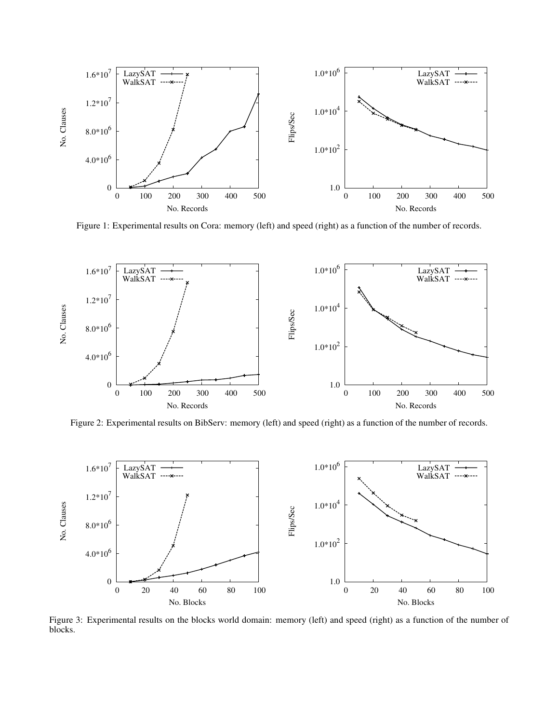

Figure 1: Experimental results on Cora: memory (left) and speed (right) as a function of the number of records.



Figure 2: Experimental results on BibServ: memory (left) and speed (right) as a function of the number of records.



Figure 3: Experimental results on the blocks world domain: memory (left) and speed (right) as a function of the number of blocks.